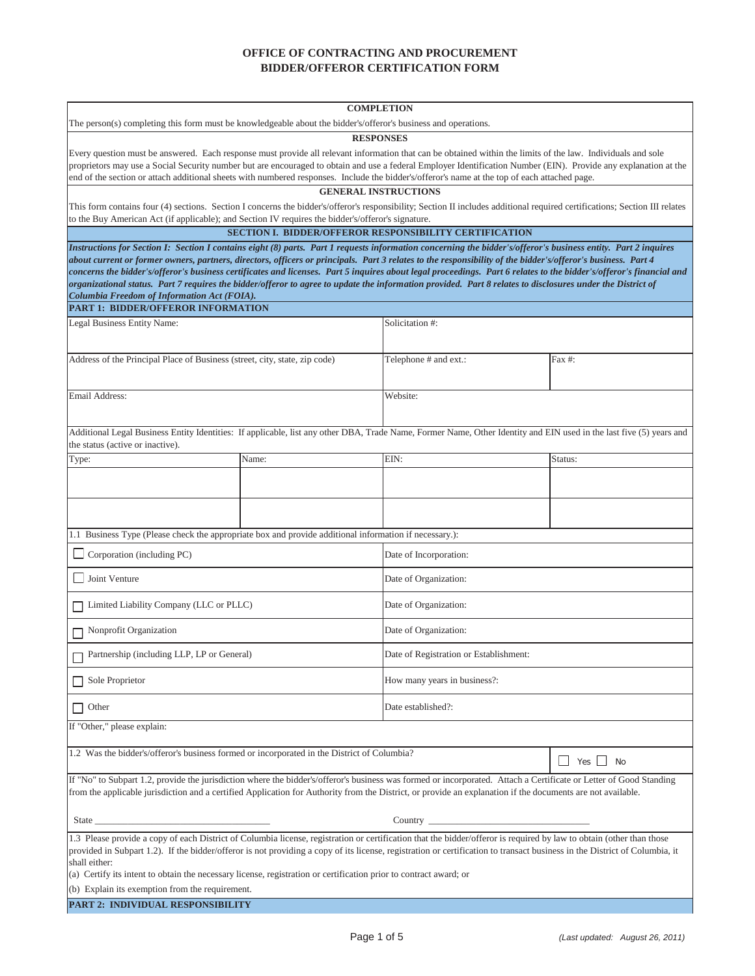## **OFFICE OF CONTRACTING AND PROCUREMENT BIDDER/OFFEROR CERTIFICATION FORM**

|                                                                                                                                                                                                                                                                                                                                                                                                                                                                                                                                                                                                                                                                                                                                                          |       | <b>COMPLETION</b>                                                                                                                                                           |                      |  |  |
|----------------------------------------------------------------------------------------------------------------------------------------------------------------------------------------------------------------------------------------------------------------------------------------------------------------------------------------------------------------------------------------------------------------------------------------------------------------------------------------------------------------------------------------------------------------------------------------------------------------------------------------------------------------------------------------------------------------------------------------------------------|-------|-----------------------------------------------------------------------------------------------------------------------------------------------------------------------------|----------------------|--|--|
| The person(s) completing this form must be knowledgeable about the bidder's/offeror's business and operations.                                                                                                                                                                                                                                                                                                                                                                                                                                                                                                                                                                                                                                           |       |                                                                                                                                                                             |                      |  |  |
| <b>RESPONSES</b><br>Every question must be answered. Each response must provide all relevant information that can be obtained within the limits of the law. Individuals and sole<br>proprietors may use a Social Security number but are encouraged to obtain and use a federal Employer Identification Number (EIN). Provide any explanation at the<br>end of the section or attach additional sheets with numbered responses. Include the bidder's/offeror's name at the top of each attached page.                                                                                                                                                                                                                                                    |       |                                                                                                                                                                             |                      |  |  |
|                                                                                                                                                                                                                                                                                                                                                                                                                                                                                                                                                                                                                                                                                                                                                          |       | <b>GENERAL INSTRUCTIONS</b>                                                                                                                                                 |                      |  |  |
|                                                                                                                                                                                                                                                                                                                                                                                                                                                                                                                                                                                                                                                                                                                                                          |       | This form contains four (4) sections. Section I concerns the bidder's/offeror's responsibility; Section II includes additional required certifications; Section III relates |                      |  |  |
| to the Buy American Act (if applicable); and Section IV requires the bidder's/offeror's signature.                                                                                                                                                                                                                                                                                                                                                                                                                                                                                                                                                                                                                                                       |       | <b>SECTION I. BIDDER/OFFEROR RESPONSIBILITY CERTIFICATION</b>                                                                                                               |                      |  |  |
|                                                                                                                                                                                                                                                                                                                                                                                                                                                                                                                                                                                                                                                                                                                                                          |       |                                                                                                                                                                             |                      |  |  |
| Instructions for Section I: Section I contains eight (8) parts. Part 1 requests information concerning the bidder's/offeror's business entity. Part 2 inquires<br>about current or former owners, partners, directors, officers or principals. Part 3 relates to the responsibility of the bidder's/offeror's business. Part 4<br>concerns the bidder's/offeror's business certificates and licenses. Part 5 inquires about legal proceedings. Part 6 relates to the bidder's/offeror's financial and<br>organizational status. Part 7 requires the bidder/offeror to agree to update the information provided. Part 8 relates to disclosures under the District of<br>Columbia Freedom of Information Act (FOIA).<br>PART 1: BIDDER/OFFEROR INFORMATION |       |                                                                                                                                                                             |                      |  |  |
| Legal Business Entity Name:                                                                                                                                                                                                                                                                                                                                                                                                                                                                                                                                                                                                                                                                                                                              |       | Solicitation #:                                                                                                                                                             |                      |  |  |
|                                                                                                                                                                                                                                                                                                                                                                                                                                                                                                                                                                                                                                                                                                                                                          |       |                                                                                                                                                                             |                      |  |  |
| Address of the Principal Place of Business (street, city, state, zip code)                                                                                                                                                                                                                                                                                                                                                                                                                                                                                                                                                                                                                                                                               |       | Telephone # and ext.:                                                                                                                                                       | Fax #:               |  |  |
| Email Address:                                                                                                                                                                                                                                                                                                                                                                                                                                                                                                                                                                                                                                                                                                                                           |       | Website:                                                                                                                                                                    |                      |  |  |
| Additional Legal Business Entity Identities: If applicable, list any other DBA, Trade Name, Former Name, Other Identity and EIN used in the last five (5) years and<br>the status (active or inactive).                                                                                                                                                                                                                                                                                                                                                                                                                                                                                                                                                  |       |                                                                                                                                                                             |                      |  |  |
| Type:                                                                                                                                                                                                                                                                                                                                                                                                                                                                                                                                                                                                                                                                                                                                                    | Name: | EIN:                                                                                                                                                                        | Status:              |  |  |
|                                                                                                                                                                                                                                                                                                                                                                                                                                                                                                                                                                                                                                                                                                                                                          |       |                                                                                                                                                                             |                      |  |  |
|                                                                                                                                                                                                                                                                                                                                                                                                                                                                                                                                                                                                                                                                                                                                                          |       |                                                                                                                                                                             |                      |  |  |
| 1.1 Business Type (Please check the appropriate box and provide additional information if necessary.):                                                                                                                                                                                                                                                                                                                                                                                                                                                                                                                                                                                                                                                   |       |                                                                                                                                                                             |                      |  |  |
| Corporation (including PC)                                                                                                                                                                                                                                                                                                                                                                                                                                                                                                                                                                                                                                                                                                                               |       | Date of Incorporation:                                                                                                                                                      |                      |  |  |
| Joint Venture                                                                                                                                                                                                                                                                                                                                                                                                                                                                                                                                                                                                                                                                                                                                            |       | Date of Organization:                                                                                                                                                       |                      |  |  |
| Limited Liability Company (LLC or PLLC)                                                                                                                                                                                                                                                                                                                                                                                                                                                                                                                                                                                                                                                                                                                  |       | Date of Organization:                                                                                                                                                       |                      |  |  |
| Nonprofit Organization                                                                                                                                                                                                                                                                                                                                                                                                                                                                                                                                                                                                                                                                                                                                   |       | Date of Organization:                                                                                                                                                       |                      |  |  |
| Partnership (including LLP, LP or General)                                                                                                                                                                                                                                                                                                                                                                                                                                                                                                                                                                                                                                                                                                               |       | Date of Registration or Establishment:                                                                                                                                      |                      |  |  |
| Sole Proprietor                                                                                                                                                                                                                                                                                                                                                                                                                                                                                                                                                                                                                                                                                                                                          |       | How many years in business?:                                                                                                                                                |                      |  |  |
| Other                                                                                                                                                                                                                                                                                                                                                                                                                                                                                                                                                                                                                                                                                                                                                    |       | Date established?:                                                                                                                                                          |                      |  |  |
| If "Other," please explain:                                                                                                                                                                                                                                                                                                                                                                                                                                                                                                                                                                                                                                                                                                                              |       |                                                                                                                                                                             |                      |  |  |
| 1.2 Was the bidder's/offeror's business formed or incorporated in the District of Columbia?                                                                                                                                                                                                                                                                                                                                                                                                                                                                                                                                                                                                                                                              |       |                                                                                                                                                                             | $\Box$ Yes $\Box$ No |  |  |
| If "No" to Subpart 1.2, provide the jurisdiction where the bidder's/offeror's business was formed or incorporated. Attach a Certificate or Letter of Good Standing<br>from the applicable jurisdiction and a certified Application for Authority from the District, or provide an explanation if the documents are not available.                                                                                                                                                                                                                                                                                                                                                                                                                        |       |                                                                                                                                                                             |                      |  |  |
|                                                                                                                                                                                                                                                                                                                                                                                                                                                                                                                                                                                                                                                                                                                                                          |       |                                                                                                                                                                             |                      |  |  |
| 1.3 Please provide a copy of each District of Columbia license, registration or certification that the bidder/offeror is required by law to obtain (other than those<br>provided in Subpart 1.2). If the bidder/offeror is not providing a copy of its license, registration or certification to transact business in the District of Columbia, it<br>shall either:<br>(a) Certify its intent to obtain the necessary license, registration or certification prior to contract award; or                                                                                                                                                                                                                                                                 |       |                                                                                                                                                                             |                      |  |  |
| (b) Explain its exemption from the requirement.                                                                                                                                                                                                                                                                                                                                                                                                                                                                                                                                                                                                                                                                                                          |       |                                                                                                                                                                             |                      |  |  |
| PART 2: INDIVIDUAL RESPONSIBILITY                                                                                                                                                                                                                                                                                                                                                                                                                                                                                                                                                                                                                                                                                                                        |       |                                                                                                                                                                             |                      |  |  |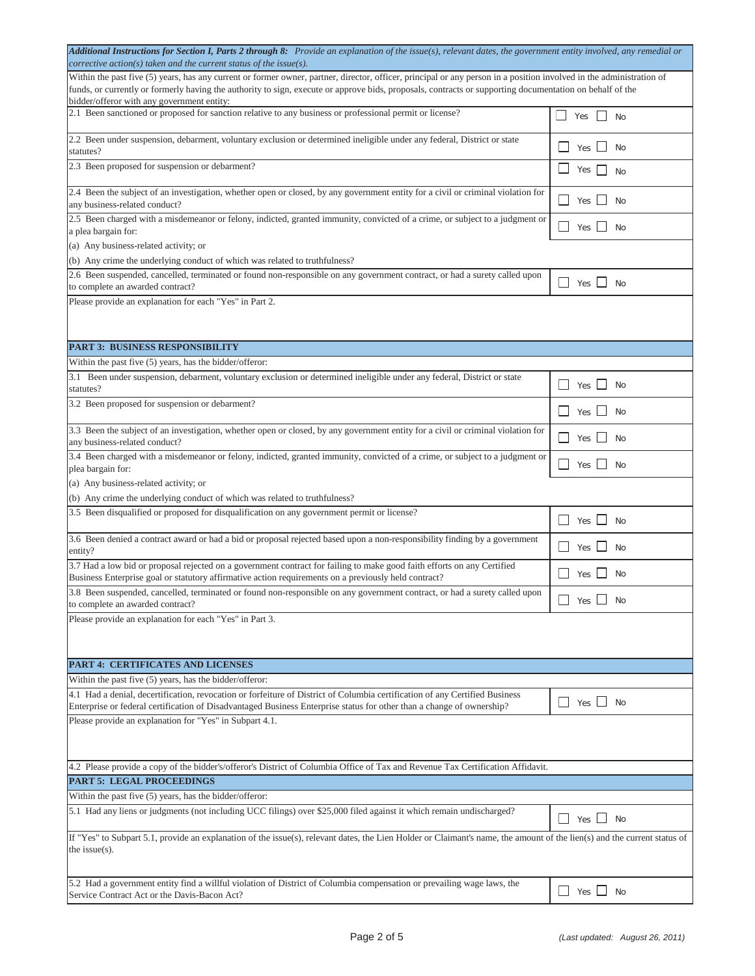| Additional Instructions for Section I, Parts 2 through 8: Provide an explanation of the issue(s), relevant dates, the government entity involved, any remedial or<br>corrective action(s) taken and the current status of the issue(s). |                                          |  |  |  |
|-----------------------------------------------------------------------------------------------------------------------------------------------------------------------------------------------------------------------------------------|------------------------------------------|--|--|--|
| Within the past five (5) years, has any current or former owner, partner, director, officer, principal or any person in a position involved in the administration of                                                                    |                                          |  |  |  |
| funds, or currently or formerly having the authority to sign, execute or approve bids, proposals, contracts or supporting documentation on behalf of the                                                                                |                                          |  |  |  |
| bidder/offeror with any government entity:                                                                                                                                                                                              |                                          |  |  |  |
| 2.1 Been sanctioned or proposed for sanction relative to any business or professional permit or license?                                                                                                                                | $Yes$    <br><b>No</b>                   |  |  |  |
| 2.2 Been under suspension, debarment, voluntary exclusion or determined ineligible under any federal, District or state<br>statutes?                                                                                                    | Yes  <br>- No                            |  |  |  |
| 2.3 Been proposed for suspension or debarment?                                                                                                                                                                                          | Yes  <br><b>No</b>                       |  |  |  |
| 2.4 Been the subject of an investigation, whether open or closed, by any government entity for a civil or criminal violation for<br>any business-related conduct?                                                                       | Yes No                                   |  |  |  |
| 2.5 Been charged with a misdemeanor or felony, indicted, granted immunity, convicted of a crime, or subject to a judgment or<br>a plea bargain for:                                                                                     | Yes $\Box$<br>No                         |  |  |  |
| (a) Any business-related activity; or                                                                                                                                                                                                   |                                          |  |  |  |
| (b) Any crime the underlying conduct of which was related to truthfulness?                                                                                                                                                              |                                          |  |  |  |
| 2.6 Been suspended, cancelled, terminated or found non-responsible on any government contract, or had a surety called upon                                                                                                              |                                          |  |  |  |
| to complete an awarded contract?                                                                                                                                                                                                        | Yes $\Box$ No                            |  |  |  |
| Please provide an explanation for each "Yes" in Part 2.                                                                                                                                                                                 |                                          |  |  |  |
|                                                                                                                                                                                                                                         |                                          |  |  |  |
|                                                                                                                                                                                                                                         |                                          |  |  |  |
| <b>PART 3: BUSINESS RESPONSIBILITY</b>                                                                                                                                                                                                  |                                          |  |  |  |
| Within the past five $(5)$ years, has the bidder/offeror:                                                                                                                                                                               |                                          |  |  |  |
| 3.1 Been under suspension, debarment, voluntary exclusion or determined ineligible under any federal, District or state                                                                                                                 |                                          |  |  |  |
| statutes?                                                                                                                                                                                                                               | <b>No</b><br>Yes [                       |  |  |  |
| 3.2 Been proposed for suspension or debarment?                                                                                                                                                                                          |                                          |  |  |  |
|                                                                                                                                                                                                                                         | Yes [<br><b>No</b>                       |  |  |  |
| 3.3 Been the subject of an investigation, whether open or closed, by any government entity for a civil or criminal violation for<br>any business-related conduct?                                                                       | Yes $\lfloor \cdot \rfloor$<br><b>No</b> |  |  |  |
| 3.4 Been charged with a misdemeanor or felony, indicted, granted immunity, convicted of a crime, or subject to a judgment or                                                                                                            |                                          |  |  |  |
| plea bargain for:                                                                                                                                                                                                                       | Yes $\Box$<br>No                         |  |  |  |
| (a) Any business-related activity; or                                                                                                                                                                                                   |                                          |  |  |  |
| (b) Any crime the underlying conduct of which was related to truthfulness?                                                                                                                                                              |                                          |  |  |  |
| 3.5 Been disqualified or proposed for disqualification on any government permit or license?                                                                                                                                             | $\perp$<br>$Yes \tM$ No                  |  |  |  |
| 3.6 Been denied a contract award or had a bid or proposal rejected based upon a non-responsibility finding by a government<br>entity?                                                                                                   | Yes  <br><b>No</b>                       |  |  |  |
| 3.7 Had a low bid or proposal rejected on a government contract for failing to make good faith efforts on any Certified                                                                                                                 |                                          |  |  |  |
| Business Enterprise goal or statutory affirmative action requirements on a previously held contract?                                                                                                                                    | Yes  <br>No                              |  |  |  |
| 3.8 Been suspended, cancelled, terminated or found non-responsible on any government contract, or had a surety called upon<br>to complete an awarded contract?                                                                          | $\Box$ Yes $\Box$ No                     |  |  |  |
| Please provide an explanation for each "Yes" in Part 3.                                                                                                                                                                                 |                                          |  |  |  |
|                                                                                                                                                                                                                                         |                                          |  |  |  |
|                                                                                                                                                                                                                                         |                                          |  |  |  |
| PART 4: CERTIFICATES AND LICENSES                                                                                                                                                                                                       |                                          |  |  |  |
| Within the past five $(5)$ years, has the bidder/offeror:                                                                                                                                                                               |                                          |  |  |  |
| 4.1 Had a denial, decertification, revocation or forfeiture of District of Columbia certification of any Certified Business                                                                                                             |                                          |  |  |  |
| Enterprise or federal certification of Disadvantaged Business Enterprise status for other than a change of ownership?                                                                                                                   | $\Box$ Yes $\Box$ No                     |  |  |  |
| Please provide an explanation for "Yes" in Subpart 4.1.                                                                                                                                                                                 |                                          |  |  |  |
|                                                                                                                                                                                                                                         |                                          |  |  |  |
|                                                                                                                                                                                                                                         |                                          |  |  |  |
| 4.2 Please provide a copy of the bidder's/offeror's District of Columbia Office of Tax and Revenue Tax Certification Affidavit.                                                                                                         |                                          |  |  |  |
| <b>PART 5: LEGAL PROCEEDINGS</b>                                                                                                                                                                                                        |                                          |  |  |  |
| Within the past five (5) years, has the bidder/offeror:                                                                                                                                                                                 |                                          |  |  |  |
| 5.1 Had any liens or judgments (not including UCC filings) over \$25,000 filed against it which remain undischarged?                                                                                                                    |                                          |  |  |  |
|                                                                                                                                                                                                                                         | $Yes \t$ No                              |  |  |  |
| If "Yes" to Subpart 5.1, provide an explanation of the issue(s), relevant dates, the Lien Holder or Claimant's name, the amount of the lien(s) and the current status of                                                                |                                          |  |  |  |
| the issue $(s)$ .                                                                                                                                                                                                                       |                                          |  |  |  |
|                                                                                                                                                                                                                                         |                                          |  |  |  |
| 5.2 Had a government entity find a willful violation of District of Columbia compensation or prevailing wage laws, the                                                                                                                  |                                          |  |  |  |
|                                                                                                                                                                                                                                         | $\Box$ Yes $\Box$ No                     |  |  |  |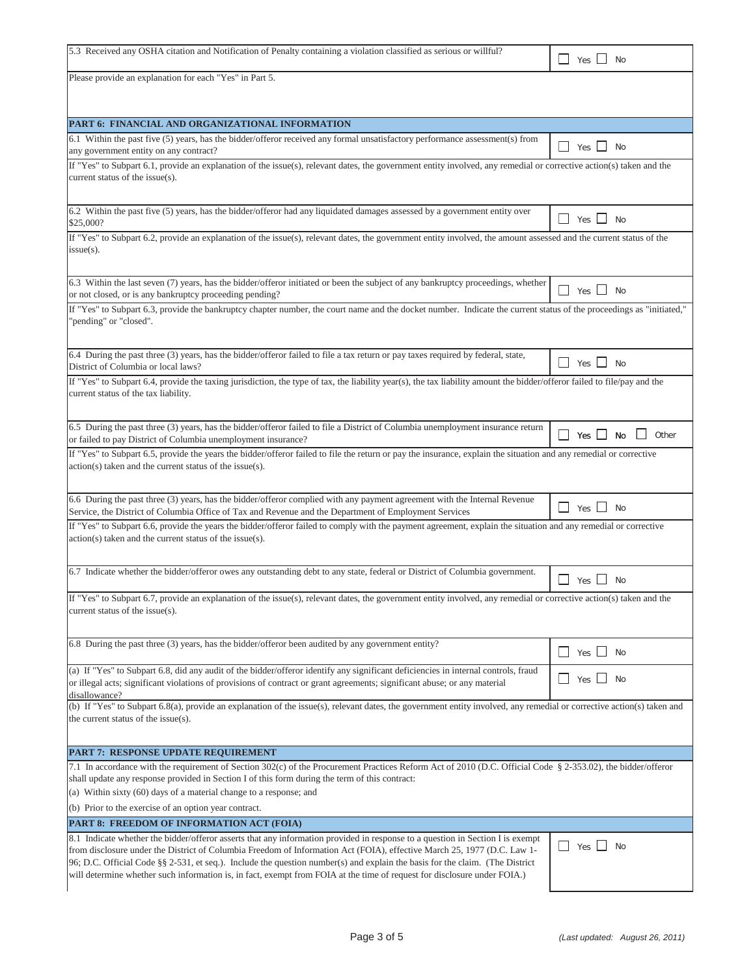| 5.3 Received any OSHA citation and Notification of Penalty containing a violation classified as serious or willful?                                                                                                                                                                                                                                                                                                                                                                                                   | Yes $\Box$<br><b>No</b>                       |  |  |  |
|-----------------------------------------------------------------------------------------------------------------------------------------------------------------------------------------------------------------------------------------------------------------------------------------------------------------------------------------------------------------------------------------------------------------------------------------------------------------------------------------------------------------------|-----------------------------------------------|--|--|--|
| Please provide an explanation for each "Yes" in Part 5.                                                                                                                                                                                                                                                                                                                                                                                                                                                               |                                               |  |  |  |
|                                                                                                                                                                                                                                                                                                                                                                                                                                                                                                                       |                                               |  |  |  |
| PART 6: FINANCIAL AND ORGANIZATIONAL INFORMATION                                                                                                                                                                                                                                                                                                                                                                                                                                                                      |                                               |  |  |  |
| 6.1 Within the past five (5) years, has the bidder/offeror received any formal unsatisfactory performance assessment(s) from<br>any government entity on any contract?                                                                                                                                                                                                                                                                                                                                                | $\overline{\phantom{a}}$<br>Yes $\Box$<br>No  |  |  |  |
| If "Yes" to Subpart 6.1, provide an explanation of the issue(s), relevant dates, the government entity involved, any remedial or corrective action(s) taken and the<br>current status of the issue(s).                                                                                                                                                                                                                                                                                                                |                                               |  |  |  |
| 6.2 Within the past five (5) years, has the bidder/offeror had any liquidated damages assessed by a government entity over<br>\$25,000?                                                                                                                                                                                                                                                                                                                                                                               | Yes $\Box$<br><b>No</b>                       |  |  |  |
| If "Yes" to Subpart 6.2, provide an explanation of the issue(s), relevant dates, the government entity involved, the amount assessed and the current status of the<br>$issue(s)$ .                                                                                                                                                                                                                                                                                                                                    |                                               |  |  |  |
| 6.3 Within the last seven (7) years, has the bidder/offeror initiated or been the subject of any bankruptcy proceedings, whether<br>or not closed, or is any bankruptcy proceeding pending?                                                                                                                                                                                                                                                                                                                           | $\blacksquare$<br>Yes L<br><b>No</b>          |  |  |  |
| If "Yes" to Subpart 6.3, provide the bankruptcy chapter number, the court name and the docket number. Indicate the current status of the proceedings as "initiated,"<br>"pending" or "closed".                                                                                                                                                                                                                                                                                                                        |                                               |  |  |  |
| 6.4 During the past three (3) years, has the bidder/offeror failed to file a tax return or pay taxes required by federal, state,<br>District of Columbia or local laws?                                                                                                                                                                                                                                                                                                                                               | $\blacksquare$<br>Yes $\Box$<br>No            |  |  |  |
| If "Yes" to Subpart 6.4, provide the taxing jurisdiction, the type of tax, the liability year(s), the tax liability amount the bidder/offeror failed to file/pay and the<br>current status of the tax liability.                                                                                                                                                                                                                                                                                                      |                                               |  |  |  |
| 6.5 During the past three (3) years, has the bidder/offeror failed to file a District of Columbia unemployment insurance return<br>or failed to pay District of Columbia unemployment insurance?                                                                                                                                                                                                                                                                                                                      | Other<br>$\blacksquare$<br>$Yes$ $\Box$<br>No |  |  |  |
| If "Yes" to Subpart 6.5, provide the years the bidder/offeror failed to file the return or pay the insurance, explain the situation and any remedial or corrective<br>action(s) taken and the current status of the issue(s).                                                                                                                                                                                                                                                                                         |                                               |  |  |  |
| 6.6 During the past three (3) years, has the bidder/offeror complied with any payment agreement with the Internal Revenue<br>Service, the District of Columbia Office of Tax and Revenue and the Department of Employment Services                                                                                                                                                                                                                                                                                    | $\mathsf{L}$<br>$Yes$ $\Box$<br><b>No</b>     |  |  |  |
| If "Yes" to Subpart 6.6, provide the years the bidder/offeror failed to comply with the payment agreement, explain the situation and any remedial or corrective<br>$action(s)$ taken and the current status of the issue $(s)$ .                                                                                                                                                                                                                                                                                      |                                               |  |  |  |
| 6.7 Indicate whether the bidder/offeror owes any outstanding debt to any state, federal or District of Columbia government.                                                                                                                                                                                                                                                                                                                                                                                           | $\blacksquare$<br>No<br>Yes L                 |  |  |  |
| If "Yes" to Subpart 6.7, provide an explanation of the issue(s), relevant dates, the government entity involved, any remedial or corrective action(s) taken and the<br>current status of the issue(s).                                                                                                                                                                                                                                                                                                                |                                               |  |  |  |
| 6.8 During the past three (3) years, has the bidder/offeror been audited by any government entity?                                                                                                                                                                                                                                                                                                                                                                                                                    | $Yes \tN$<br>$\mathsf{L}$                     |  |  |  |
| (a) If "Yes" to Subpart 6.8, did any audit of the bidder/offeror identify any significant deficiencies in internal controls, fraud<br>or illegal acts; significant violations of provisions of contract or grant agreements; significant abuse; or any material<br>disallowance?                                                                                                                                                                                                                                      | $\blacksquare$<br>$Yes$ $\Box$<br>No          |  |  |  |
| (b) If "Yes" to Subpart 6.8(a), provide an explanation of the issue(s), relevant dates, the government entity involved, any remedial or corrective action(s) taken and<br>the current status of the issue(s).                                                                                                                                                                                                                                                                                                         |                                               |  |  |  |
| PART 7: RESPONSE UPDATE REQUIREMENT                                                                                                                                                                                                                                                                                                                                                                                                                                                                                   |                                               |  |  |  |
| 7.1 In accordance with the requirement of Section 302(c) of the Procurement Practices Reform Act of 2010 (D.C. Official Code § 2-353.02), the bidder/offeror<br>shall update any response provided in Section I of this form during the term of this contract:<br>(a) Within sixty (60) days of a material change to a response; and                                                                                                                                                                                  |                                               |  |  |  |
| (b) Prior to the exercise of an option year contract.<br>PART 8: FREEDOM OF INFORMATION ACT (FOIA)                                                                                                                                                                                                                                                                                                                                                                                                                    |                                               |  |  |  |
| 8.1 Indicate whether the bidder/offeror asserts that any information provided in response to a question in Section I is exempt<br>from disclosure under the District of Columbia Freedom of Information Act (FOIA), effective March 25, 1977 (D.C. Law 1-<br>96; D.C. Official Code §§ 2-531, et seq.). Include the question number(s) and explain the basis for the claim. (The District<br>will determine whether such information is, in fact, exempt from FOIA at the time of request for disclosure under FOIA.) | Yes<br>$\mathsf{L}$<br><b>No</b>              |  |  |  |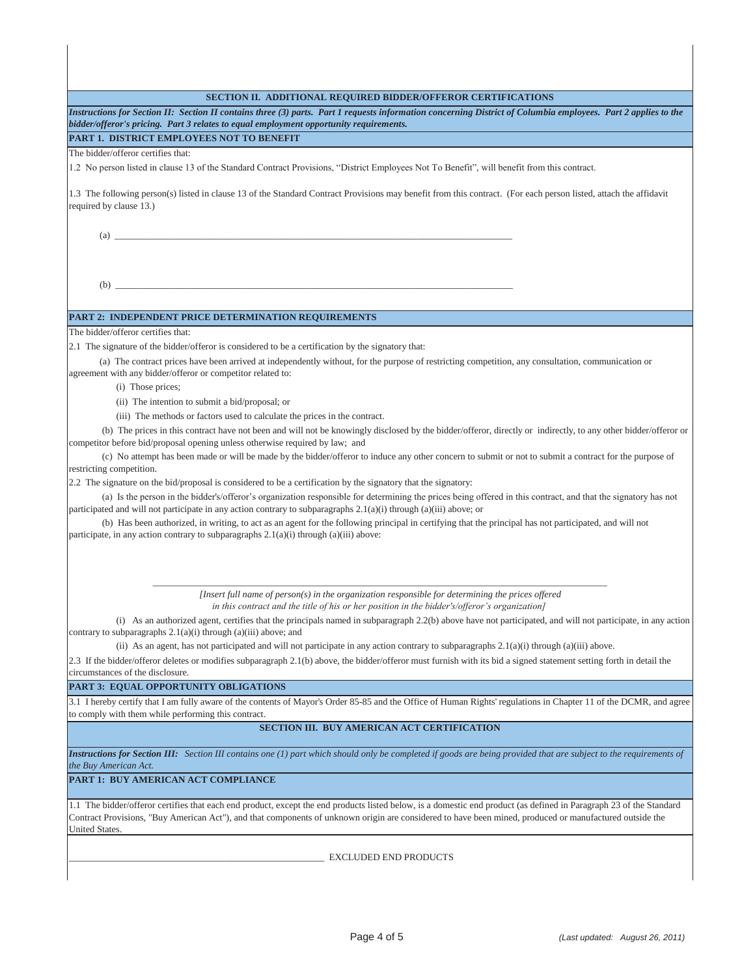| SECTION II. ADDITIONAL REQUIRED BIDDER/OFFEROR CERTIFICATIONS                                                                                                                                                                                                                                                                                    |  |  |  |  |
|--------------------------------------------------------------------------------------------------------------------------------------------------------------------------------------------------------------------------------------------------------------------------------------------------------------------------------------------------|--|--|--|--|
| Instructions for Section II: Section II contains three (3) parts. Part 1 requests information concerning District of Columbia employees. Part 2 applies to the<br>bidder/offeror's pricing. Part 3 relates to equal employment opportunity requirements.                                                                                         |  |  |  |  |
| PART 1. DISTRICT EMPLOYEES NOT TO BENEFIT                                                                                                                                                                                                                                                                                                        |  |  |  |  |
| The bidder/offeror certifies that:                                                                                                                                                                                                                                                                                                               |  |  |  |  |
| 1.2 No person listed in clause 13 of the Standard Contract Provisions, "District Employees Not To Benefit", will benefit from this contract.                                                                                                                                                                                                     |  |  |  |  |
| 1.3 The following person(s) listed in clause 13 of the Standard Contract Provisions may benefit from this contract. (For each person listed, attach the affidavit<br>required by clause 13.)                                                                                                                                                     |  |  |  |  |
| $\left( \text{a} \right)$                                                                                                                                                                                                                                                                                                                        |  |  |  |  |
|                                                                                                                                                                                                                                                                                                                                                  |  |  |  |  |
|                                                                                                                                                                                                                                                                                                                                                  |  |  |  |  |
|                                                                                                                                                                                                                                                                                                                                                  |  |  |  |  |
| <b>PART 2: INDEPENDENT PRICE DETERMINATION REOUIREMENTS</b><br>The bidder/offeror certifies that:                                                                                                                                                                                                                                                |  |  |  |  |
| 2.1 The signature of the bidder/offeror is considered to be a certification by the signatory that:                                                                                                                                                                                                                                               |  |  |  |  |
| (a) The contract prices have been arrived at independently without, for the purpose of restricting competition, any consultation, communication or<br>agreement with any bidder/offeror or competitor related to:                                                                                                                                |  |  |  |  |
| (i) Those prices;                                                                                                                                                                                                                                                                                                                                |  |  |  |  |
| (ii) The intention to submit a bid/proposal; or                                                                                                                                                                                                                                                                                                  |  |  |  |  |
| (iii) The methods or factors used to calculate the prices in the contract.                                                                                                                                                                                                                                                                       |  |  |  |  |
| (b) The prices in this contract have not been and will not be knowingly disclosed by the bidder/offeror, directly or indirectly, to any other bidder/offeror or<br>competitor before bid/proposal opening unless otherwise required by law; and                                                                                                  |  |  |  |  |
| (c) No attempt has been made or will be made by the bidder/offeror to induce any other concern to submit or not to submit a contract for the purpose of<br>restricting competition.                                                                                                                                                              |  |  |  |  |
| 2.2 The signature on the bid/proposal is considered to be a certification by the signatory that the signatory:                                                                                                                                                                                                                                   |  |  |  |  |
| (a) Is the person in the bidder's/offeror's organization responsible for determining the prices being offered in this contract, and that the signatory has not<br>participated and will not participate in any action contrary to subparagraphs $2.1(a)(i)$ through $(a)(iii)$ above; or                                                         |  |  |  |  |
| (b) Has been authorized, in writing, to act as an agent for the following principal in certifying that the principal has not participated, and will not<br>participate, in any action contrary to subparagraphs 2.1(a)(i) through (a)(iii) above:                                                                                                |  |  |  |  |
|                                                                                                                                                                                                                                                                                                                                                  |  |  |  |  |
| [Insert full name of $person(s)$ in the organization responsible for determining the prices offered<br>in this contract and the title of his or her position in the bidder's/offeror's organization]                                                                                                                                             |  |  |  |  |
| (i) As an authorized agent, certifies that the principals named in subparagraph 2.2(b) above have not participated, and will not participate, in any action<br>contrary to subparagraphs $2.1(a)(i)$ through $(a)(iii)$ above; and                                                                                                               |  |  |  |  |
| (ii) As an agent, has not participated and will not participate in any action contrary to subparagraphs $2.1(a)(i)$ through $(a)(iii)$ above.                                                                                                                                                                                                    |  |  |  |  |
| 2.3 If the bidder/offeror deletes or modifies subparagraph 2.1(b) above, the bidder/offeror must furnish with its bid a signed statement setting forth in detail the<br>circumstances of the disclosure.                                                                                                                                         |  |  |  |  |
| PART 3: EQUAL OPPORTUNITY OBLIGATIONS                                                                                                                                                                                                                                                                                                            |  |  |  |  |
| 3.1 I hereby certify that I am fully aware of the contents of Mayor's Order 85-85 and the Office of Human Rights' regulations in Chapter 11 of the DCMR, and agree<br>to comply with them while performing this contract.                                                                                                                        |  |  |  |  |
| SECTION III. BUY AMERICAN ACT CERTIFICATION                                                                                                                                                                                                                                                                                                      |  |  |  |  |
| Instructions for Section III: Section III contains one (1) part which should only be completed if goods are being provided that are subject to the requirements of<br>the Buy American Act.                                                                                                                                                      |  |  |  |  |
| PART 1: BUY AMERICAN ACT COMPLIANCE                                                                                                                                                                                                                                                                                                              |  |  |  |  |
| 1.1 The bidder/offeror certifies that each end product, except the end products listed below, is a domestic end product (as defined in Paragraph 23 of the Standard<br>Contract Provisions, "Buy American Act"), and that components of unknown origin are considered to have been mined, produced or manufactured outside the<br>United States. |  |  |  |  |
| <b>EXCLUDED END PRODUCTS</b>                                                                                                                                                                                                                                                                                                                     |  |  |  |  |
|                                                                                                                                                                                                                                                                                                                                                  |  |  |  |  |

l